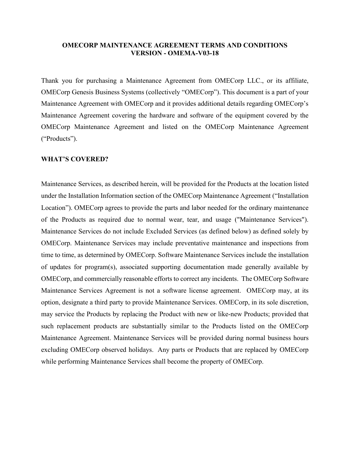## **OMECORP MAINTENANCE AGREEMENT TERMS AND CONDITIONS VERSION - OMEMA-V03-18**

Thank you for purchasing a Maintenance Agreement from OMECorp LLC., or its affiliate, OMECorp Genesis Business Systems (collectively "OMECorp"). This document is a part of your Maintenance Agreement with OMECorp and it provides additional details regarding OMECorp's Maintenance Agreement covering the hardware and software of the equipment covered by the OMECorp Maintenance Agreement and listed on the OMECorp Maintenance Agreement ("Products").

#### **WHAT'S COVERED?**

Maintenance Services, as described herein, will be provided for the Products at the location listed under the Installation Information section of the OMECorp Maintenance Agreement ("Installation Location"). OMECorp agrees to provide the parts and labor needed for the ordinary maintenance of the Products as required due to normal wear, tear, and usage ("Maintenance Services"). Maintenance Services do not include Excluded Services (as defined below) as defined solely by OMECorp. Maintenance Services may include preventative maintenance and inspections from time to time, as determined by OMECorp. Software Maintenance Services include the installation of updates for program(s), associated supporting documentation made generally available by OMECorp, and commercially reasonable efforts to correct any incidents. The OMECorp Software Maintenance Services Agreement is not a software license agreement. OMECorp may, at its option, designate a third party to provide Maintenance Services. OMECorp, in its sole discretion, may service the Products by replacing the Product with new or like-new Products; provided that such replacement products are substantially similar to the Products listed on the OMECorp Maintenance Agreement. Maintenance Services will be provided during normal business hours excluding OMECorp observed holidays. Any parts or Products that are replaced by OMECorp while performing Maintenance Services shall become the property of OMECorp.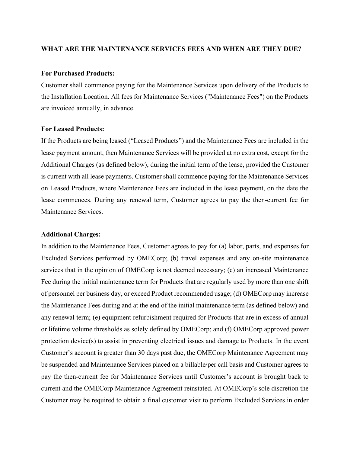#### **WHAT ARE THE MAINTENANCE SERVICES FEES AND WHEN ARE THEY DUE?**

## **For Purchased Products:**

Customer shall commence paying for the Maintenance Services upon delivery of the Products to the Installation Location. All fees for Maintenance Services ("Maintenance Fees") on the Products are invoiced annually, in advance.

## **For Leased Products:**

If the Products are being leased ("Leased Products") and the Maintenance Fees are included in the lease payment amount, then Maintenance Services will be provided at no extra cost, except for the Additional Charges (as defined below), during the initial term of the lease, provided the Customer is current with all lease payments. Customer shall commence paying for the Maintenance Services on Leased Products, where Maintenance Fees are included in the lease payment, on the date the lease commences. During any renewal term, Customer agrees to pay the then-current fee for Maintenance Services.

## **Additional Charges:**

In addition to the Maintenance Fees, Customer agrees to pay for (a) labor, parts, and expenses for Excluded Services performed by OMECorp; (b) travel expenses and any on-site maintenance services that in the opinion of OMECorp is not deemed necessary; (c) an increased Maintenance Fee during the initial maintenance term for Products that are regularly used by more than one shift of personnel per business day, or exceed Product recommended usage; (d) OMECorp may increase the Maintenance Fees during and at the end of the initial maintenance term (as defined below) and any renewal term; (e) equipment refurbishment required for Products that are in excess of annual or lifetime volume thresholds as solely defined by OMECorp; and (f) OMECorp approved power protection device(s) to assist in preventing electrical issues and damage to Products. In the event Customer's account is greater than 30 days past due, the OMECorp Maintenance Agreement may be suspended and Maintenance Services placed on a billable/per call basis and Customer agrees to pay the then-current fee for Maintenance Services until Customer's account is brought back to current and the OMECorp Maintenance Agreement reinstated. At OMECorp's sole discretion the Customer may be required to obtain a final customer visit to perform Excluded Services in order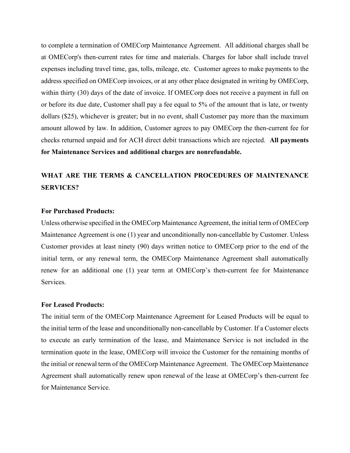to complete a termination of OMECorp Maintenance Agreement. All additional charges shall be at OMECorp's then-current rates for time and materials. Charges for labor shall include travel expenses including travel time, gas, tolls, mileage, etc. Customer agrees to make payments to the address specified on OMECorp invoices, or at any other place designated in writing by OMECorp, within thirty (30) days of the date of invoice. If OMECorp does not receive a payment in full on or before its due date, Customer shall pay a fee equal to 5% of the amount that is late, or twenty dollars (\$25), whichever is greater; but in no event, shall Customer pay more than the maximum amount allowed by law. In addition, Customer agrees to pay OMECorp the then-current fee for checks returned unpaid and for ACH direct debit transactions which are rejected. **All payments for Maintenance Services and additional charges are nonrefundable.**

# **WHAT ARE THE TERMS & CANCELLATION PROCEDURES OF MAINTENANCE SERVICES?**

## **For Purchased Products:**

Unless otherwise specified in the OMECorp Maintenance Agreement, the initial term of OMECorp Maintenance Agreement is one (1) year and unconditionally non-cancellable by Customer. Unless Customer provides at least ninety (90) days written notice to OMECorp prior to the end of the initial term, or any renewal term, the OMECorp Maintenance Agreement shall automatically renew for an additional one (1) year term at OMECorp's then-current fee for Maintenance Services.

## **For Leased Products:**

The initial term of the OMECorp Maintenance Agreement for Leased Products will be equal to the initial term of the lease and unconditionally non-cancellable by Customer. If a Customer elects to execute an early termination of the lease, and Maintenance Service is not included in the termination quote in the lease, OMECorp will invoice the Customer for the remaining months of the initial or renewal term of the OMECorp Maintenance Agreement. The OMECorp Maintenance Agreement shall automatically renew upon renewal of the lease at OMECorp's then-current fee for Maintenance Service.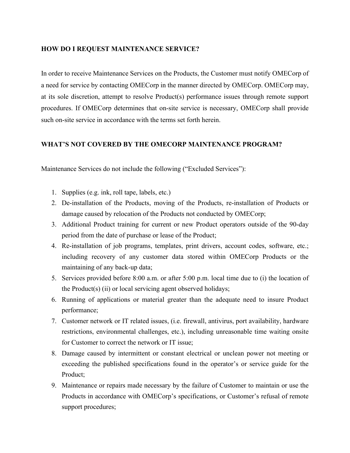## **HOW DO I REQUEST MAINTENANCE SERVICE?**

In order to receive Maintenance Services on the Products, the Customer must notify OMECorp of a need for service by contacting OMECorp in the manner directed by OMECorp. OMECorp may, at its sole discretion, attempt to resolve Product(s) performance issues through remote support procedures. If OMECorp determines that on-site service is necessary, OMECorp shall provide such on-site service in accordance with the terms set forth herein.

## **WHAT'S NOT COVERED BY THE OMECORP MAINTENANCE PROGRAM?**

Maintenance Services do not include the following ("Excluded Services"):

- 1. Supplies (e.g. ink, roll tape, labels, etc.)
- 2. De-installation of the Products, moving of the Products, re-installation of Products or damage caused by relocation of the Products not conducted by OMECorp;
- 3. Additional Product training for current or new Product operators outside of the 90-day period from the date of purchase or lease of the Product;
- 4. Re-installation of job programs, templates, print drivers, account codes, software, etc.; including recovery of any customer data stored within OMECorp Products or the maintaining of any back-up data;
- 5. Services provided before 8:00 a.m. or after 5:00 p.m. local time due to (i) the location of the Product(s) (ii) or local servicing agent observed holidays;
- 6. Running of applications or material greater than the adequate need to insure Product performance;
- 7. Customer network or IT related issues, (i.e. firewall, antivirus, port availability, hardware restrictions, environmental challenges, etc.), including unreasonable time waiting onsite for Customer to correct the network or IT issue;
- 8. Damage caused by intermittent or constant electrical or unclean power not meeting or exceeding the published specifications found in the operator's or service guide for the Product;
- 9. Maintenance or repairs made necessary by the failure of Customer to maintain or use the Products in accordance with OMECorp's specifications, or Customer's refusal of remote support procedures;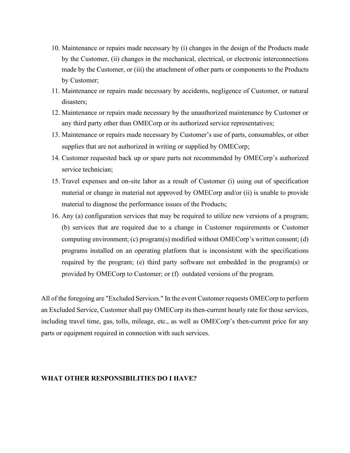- 10. Maintenance or repairs made necessary by (i) changes in the design of the Products made by the Customer, (ii) changes in the mechanical, electrical, or electronic interconnections made by the Customer, or (iii) the attachment of other parts or components to the Products by Customer;
- 11. Maintenance or repairs made necessary by accidents, negligence of Customer, or natural disasters;
- 12. Maintenance or repairs made necessary by the unauthorized maintenance by Customer or any third party other than OMECorp or its authorized service representatives;
- 13. Maintenance or repairs made necessary by Customer's use of parts, consumables, or other supplies that are not authorized in writing or supplied by OMECorp;
- 14. Customer requested back up or spare parts not recommended by OMECorp's authorized service technician;
- 15. Travel expenses and on-site labor as a result of Customer (i) using out of specification material or change in material not approved by OMECorp and/or (ii) is unable to provide material to diagnose the performance issues of the Products;
- 16. Any (a) configuration services that may be required to utilize new versions of a program; (b) services that are required due to a change in Customer requirements or Customer computing environment; (c) program(s) modified without OMECorp's written consent; (d) programs installed on an operating platform that is inconsistent with the specifications required by the program; (e) third party software not embedded in the program(s) or provided by OMECorp to Customer; or (f) outdated versions of the program.

All of the foregoing are "Excluded Services." In the event Customer requests OMECorp to perform an Excluded Service, Customer shall pay OMECorp its then-current hourly rate for those services, including travel time, gas, tolls, mileage, etc., as well as OMECorp's then-current price for any parts or equipment required in connection with such services.

## **WHAT OTHER RESPONSIBILITIES DO I HAVE?**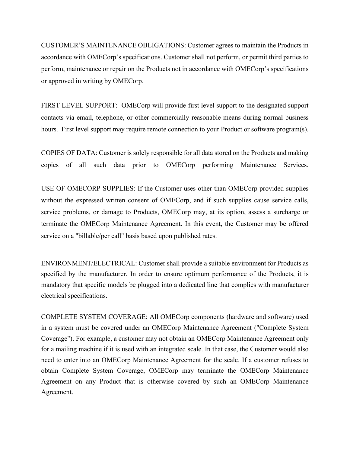CUSTOMER'S MAINTENANCE OBLIGATIONS: Customer agrees to maintain the Products in accordance with OMECorp's specifications. Customer shall not perform, or permit third parties to perform, maintenance or repair on the Products not in accordance with OMECorp's specifications or approved in writing by OMECorp.

FIRST LEVEL SUPPORT: OMECorp will provide first level support to the designated support contacts via email, telephone, or other commercially reasonable means during normal business hours. First level support may require remote connection to your Product or software program(s).

COPIES OF DATA: Customer is solely responsible for all data stored on the Products and making copies of all such data prior to OMECorp performing Maintenance Services.

USE OF OMECORP SUPPLIES: If the Customer uses other than OMECorp provided supplies without the expressed written consent of OMECorp, and if such supplies cause service calls, service problems, or damage to Products, OMECorp may, at its option, assess a surcharge or terminate the OMECorp Maintenance Agreement. In this event, the Customer may be offered service on a "billable/per call" basis based upon published rates.

ENVIRONMENT/ELECTRICAL: Customer shall provide a suitable environment for Products as specified by the manufacturer. In order to ensure optimum performance of the Products, it is mandatory that specific models be plugged into a dedicated line that complies with manufacturer electrical specifications.

COMPLETE SYSTEM COVERAGE: All OMECorp components (hardware and software) used in a system must be covered under an OMECorp Maintenance Agreement ("Complete System Coverage"). For example, a customer may not obtain an OMECorp Maintenance Agreement only for a mailing machine if it is used with an integrated scale. In that case, the Customer would also need to enter into an OMECorp Maintenance Agreement for the scale. If a customer refuses to obtain Complete System Coverage, OMECorp may terminate the OMECorp Maintenance Agreement on any Product that is otherwise covered by such an OMECorp Maintenance Agreement.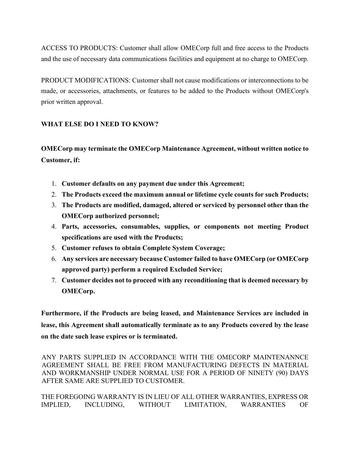ACCESS TO PRODUCTS: Customer shall allow OMECorp full and free access to the Products and the use of necessary data communications facilities and equipment at no charge to OMECorp.

PRODUCT MODIFICATIONS: Customer shall not cause modifications or interconnections to be made, or accessories, attachments, or features to be added to the Products without OMECorp's prior written approval.

## **WHAT ELSE DO I NEED TO KNOW?**

**OMECorp may terminate the OMECorp Maintenance Agreement, without written notice to Customer, if:**

- 1. **Customer defaults on any payment due under this Agreement;**
- 2. **The Products exceed the maximum annual or lifetime cycle counts for such Products;**
- 3. **The Products are modified, damaged, altered or serviced by personnel other than the OMECorp authorized personnel;**
- 4. **Parts, accessories, consumables, supplies, or components not meeting Product specifications are used with the Products;**
- 5. **Customer refuses to obtain Complete System Coverage;**
- 6. **Any services are necessary because Customer failed to have OMECorp (or OMECorp approved party) perform a required Excluded Service;**
- 7. **Customer decides not to proceed with any reconditioning that is deemed necessary by OMECorp.**

**Furthermore, if the Products are being leased, and Maintenance Services are included in lease, this Agreement shall automatically terminate as to any Products covered by the lease on the date such lease expires or is terminated.**

ANY PARTS SUPPLIED IN ACCORDANCE WITH THE OMECORP MAINTENANNCE AGREEMENT SHALL BE FREE FROM MANUFACTURING DEFECTS IN MATERIAL AND WORKMANSHIP UNDER NORMAL USE FOR A PERIOD OF NINETY (90) DAYS AFTER SAME ARE SUPPLIED TO CUSTOMER.

THE FOREGOING WARRANTY IS IN LIEU OF ALL OTHER WARRANTIES, EXPRESS OR IMPLIED, INCLUDING, WITHOUT LIMITATION, WARRANTIES OF